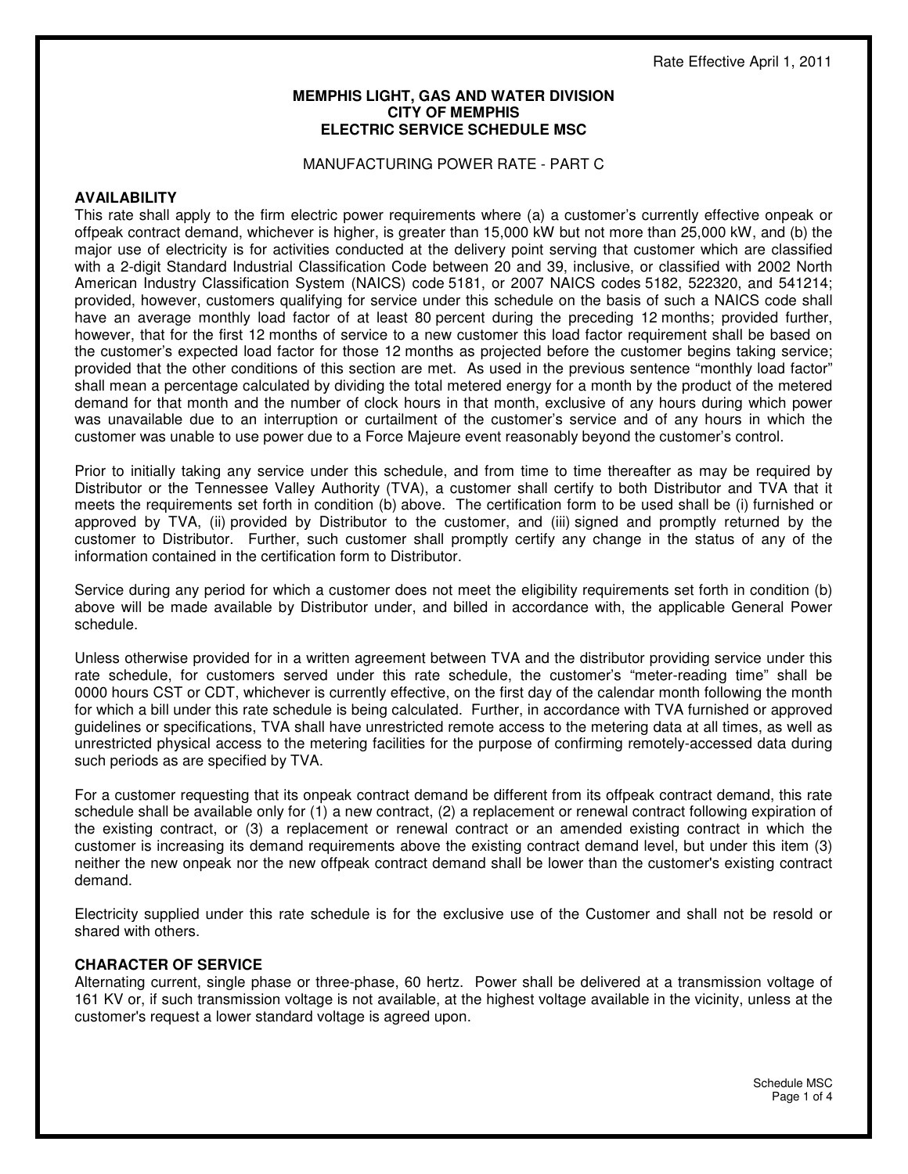#### **MEMPHIS LIGHT, GAS AND WATER DIVISION CITY OF MEMPHIS ELECTRIC SERVICE SCHEDULE MSC**

#### MANUFACTURING POWER RATE - PART C

#### **AVAILABILITY**

This rate shall apply to the firm electric power requirements where (a) a customer's currently effective onpeak or offpeak contract demand, whichever is higher, is greater than 15,000 kW but not more than 25,000 kW, and (b) the major use of electricity is for activities conducted at the delivery point serving that customer which are classified with a 2-digit Standard Industrial Classification Code between 20 and 39, inclusive, or classified with 2002 North American Industry Classification System (NAICS) code 5181, or 2007 NAICS codes 5182, 522320, and 541214; provided, however, customers qualifying for service under this schedule on the basis of such a NAICS code shall have an average monthly load factor of at least 80 percent during the preceding 12 months; provided further, however, that for the first 12 months of service to a new customer this load factor requirement shall be based on the customer's expected load factor for those 12 months as projected before the customer begins taking service; provided that the other conditions of this section are met. As used in the previous sentence "monthly load factor" shall mean a percentage calculated by dividing the total metered energy for a month by the product of the metered demand for that month and the number of clock hours in that month, exclusive of any hours during which power was unavailable due to an interruption or curtailment of the customer's service and of any hours in which the customer was unable to use power due to a Force Majeure event reasonably beyond the customer's control.

Prior to initially taking any service under this schedule, and from time to time thereafter as may be required by Distributor or the Tennessee Valley Authority (TVA), a customer shall certify to both Distributor and TVA that it meets the requirements set forth in condition (b) above. The certification form to be used shall be (i) furnished or approved by TVA, (ii) provided by Distributor to the customer, and (iii) signed and promptly returned by the customer to Distributor. Further, such customer shall promptly certify any change in the status of any of the information contained in the certification form to Distributor.

Service during any period for which a customer does not meet the eligibility requirements set forth in condition (b) above will be made available by Distributor under, and billed in accordance with, the applicable General Power schedule.

Unless otherwise provided for in a written agreement between TVA and the distributor providing service under this rate schedule, for customers served under this rate schedule, the customer's "meter-reading time" shall be 0000 hours CST or CDT, whichever is currently effective, on the first day of the calendar month following the month for which a bill under this rate schedule is being calculated. Further, in accordance with TVA furnished or approved guidelines or specifications, TVA shall have unrestricted remote access to the metering data at all times, as well as unrestricted physical access to the metering facilities for the purpose of confirming remotely-accessed data during such periods as are specified by TVA.

For a customer requesting that its onpeak contract demand be different from its offpeak contract demand, this rate schedule shall be available only for (1) a new contract, (2) a replacement or renewal contract following expiration of the existing contract, or (3) a replacement or renewal contract or an amended existing contract in which the customer is increasing its demand requirements above the existing contract demand level, but under this item (3) neither the new onpeak nor the new offpeak contract demand shall be lower than the customer's existing contract demand.

Electricity supplied under this rate schedule is for the exclusive use of the Customer and shall not be resold or shared with others.

#### **CHARACTER OF SERVICE**

Alternating current, single phase or three-phase, 60 hertz. Power shall be delivered at a transmission voltage of 161 KV or, if such transmission voltage is not available, at the highest voltage available in the vicinity, unless at the customer's request a lower standard voltage is agreed upon.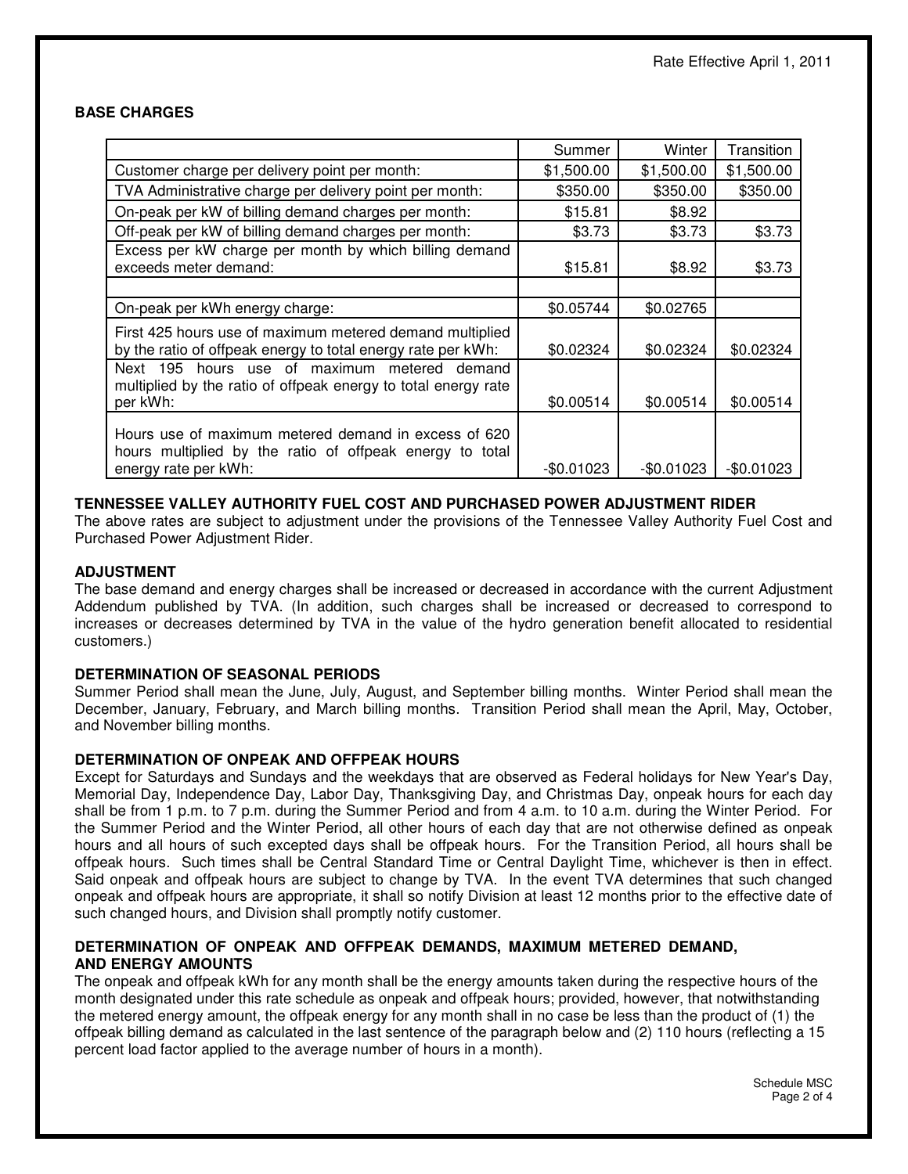## **BASE CHARGES**

|                                                                                                                                          | Summer     | Winter      | Transition  |
|------------------------------------------------------------------------------------------------------------------------------------------|------------|-------------|-------------|
| Customer charge per delivery point per month:                                                                                            | \$1,500.00 | \$1,500.00  | \$1,500.00  |
| TVA Administrative charge per delivery point per month:                                                                                  | \$350.00   | \$350.00    | \$350.00    |
| On-peak per kW of billing demand charges per month:                                                                                      | \$15.81    | \$8.92      |             |
| Off-peak per kW of billing demand charges per month:                                                                                     | \$3.73     | \$3.73      | \$3.73      |
| Excess per kW charge per month by which billing demand<br>exceeds meter demand:                                                          | \$15.81    | \$8.92      | \$3.73      |
|                                                                                                                                          |            |             |             |
| On-peak per kWh energy charge:                                                                                                           | \$0.05744  | \$0.02765   |             |
| First 425 hours use of maximum metered demand multiplied<br>by the ratio of offpeak energy to total energy rate per kWh:                 | \$0.02324  | \$0.02324   | \$0.02324   |
| hours use of maximum metered demand<br>Next 195<br>multiplied by the ratio of offpeak energy to total energy rate<br>per kWh:            | \$0.00514  | \$0.00514   | \$0.00514   |
| Hours use of maximum metered demand in excess of 620<br>hours multiplied by the ratio of offpeak energy to total<br>energy rate per kWh: | -\$0.01023 | $-$0.01023$ | $-$0.01023$ |

## **TENNESSEE VALLEY AUTHORITY FUEL COST AND PURCHASED POWER ADJUSTMENT RIDER**

The above rates are subject to adjustment under the provisions of the Tennessee Valley Authority Fuel Cost and Purchased Power Adjustment Rider.

## **ADJUSTMENT**

The base demand and energy charges shall be increased or decreased in accordance with the current Adjustment Addendum published by TVA. (In addition, such charges shall be increased or decreased to correspond to increases or decreases determined by TVA in the value of the hydro generation benefit allocated to residential customers.)

## **DETERMINATION OF SEASONAL PERIODS**

Summer Period shall mean the June, July, August, and September billing months. Winter Period shall mean the December, January, February, and March billing months. Transition Period shall mean the April, May, October, and November billing months.

## **DETERMINATION OF ONPEAK AND OFFPEAK HOURS**

Except for Saturdays and Sundays and the weekdays that are observed as Federal holidays for New Year's Day, Memorial Day, Independence Day, Labor Day, Thanksgiving Day, and Christmas Day, onpeak hours for each day shall be from 1 p.m. to 7 p.m. during the Summer Period and from 4 a.m. to 10 a.m. during the Winter Period. For the Summer Period and the Winter Period, all other hours of each day that are not otherwise defined as onpeak hours and all hours of such excepted days shall be offpeak hours. For the Transition Period, all hours shall be offpeak hours. Such times shall be Central Standard Time or Central Daylight Time, whichever is then in effect. Said onpeak and offpeak hours are subject to change by TVA. In the event TVA determines that such changed onpeak and offpeak hours are appropriate, it shall so notify Division at least 12 months prior to the effective date of such changed hours, and Division shall promptly notify customer.

#### **DETERMINATION OF ONPEAK AND OFFPEAK DEMANDS, MAXIMUM METERED DEMAND, AND ENERGY AMOUNTS**

The onpeak and offpeak kWh for any month shall be the energy amounts taken during the respective hours of the month designated under this rate schedule as onpeak and offpeak hours; provided, however, that notwithstanding the metered energy amount, the offpeak energy for any month shall in no case be less than the product of (1) the offpeak billing demand as calculated in the last sentence of the paragraph below and (2) 110 hours (reflecting a 15 percent load factor applied to the average number of hours in a month).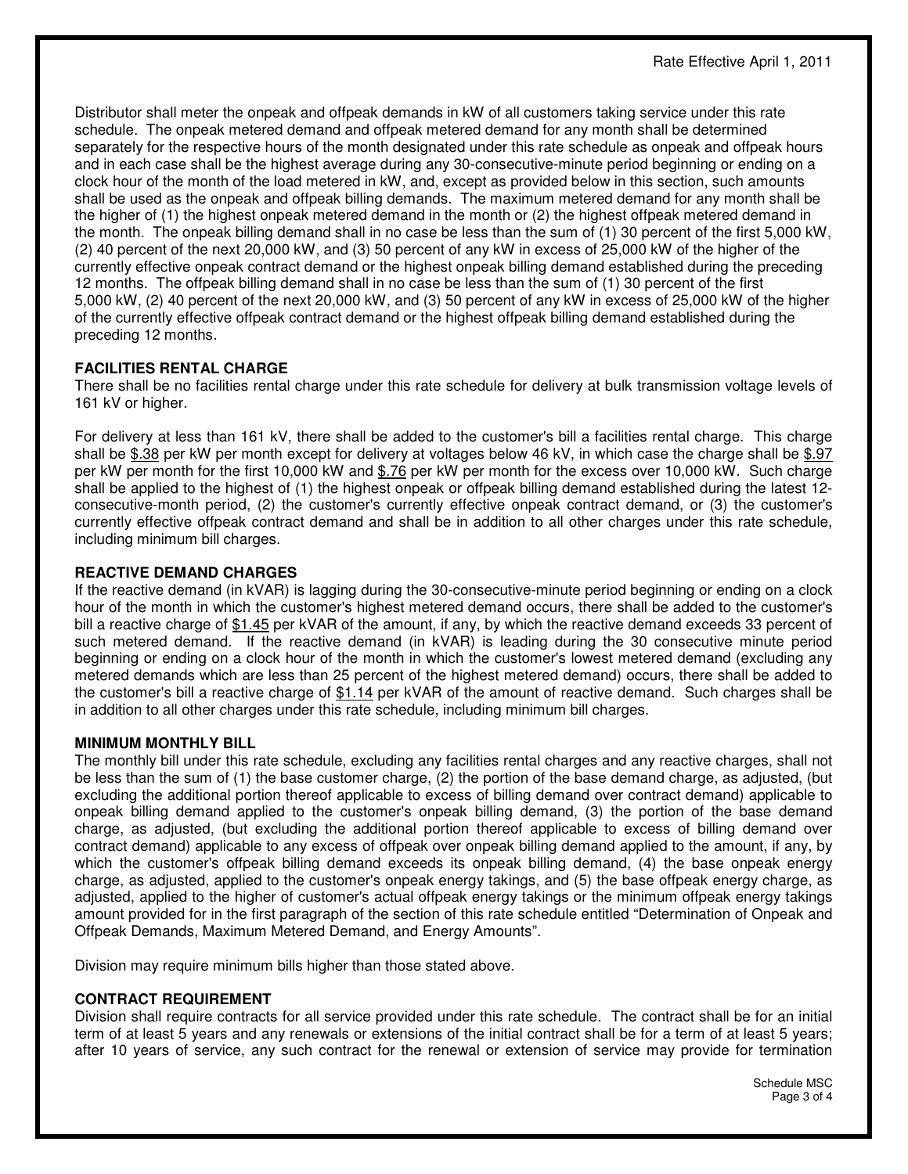Distributor shall meter the onpeak and offpeak demands in kW of all customers taking service under this rate schedule. The onpeak metered demand and offpeak metered demand for any month shall be determined separately for the respective hours of the month designated under this rate schedule as onpeak and offpeak hours and in each case shall be the highest average during any 30-consecutive-minute period beginning or ending on a clock hour of the month of the load metered in kW, and, except as provided below in this section, such amounts shall be used as the onpeak and offpeak billing demands. The maximum metered demand for any month shall be the higher of (1) the highest onpeak metered demand in the month or (2) the highest offpeak metered demand in the month. The onpeak billing demand shall in no case be less than the sum of (1) 30 percent of the first 5,000 kW, (2) 40 percent of the next 20,000 kW, and (3) 50 percent of any kW in excess of 25,000 kW of the higher of the currently effective onpeak contract demand or the highest onpeak billing demand established during the preceding 12 months. The offpeak billing demand shall in no case be less than the sum of (1) 30 percent of the first 5,000 kW, (2) 40 percent of the next 20,000 kW, and (3) 50 percent of any kW in excess of 25,000 kW of the higher of the currently effective offpeak contract demand or the highest offpeak billing demand established during the preceding 12 months.

# **FACILITIES RENTAL CHARGE**

There shall be no facilities rental charge under this rate schedule for delivery at bulk transmission voltage levels of 161 kV or higher.

For delivery at less than 161 kV, there shall be added to the customer's bill a facilities rental charge. This charge shall be \$.38 per kW per month except for delivery at voltages below 46 kV, in which case the charge shall be \$.97 per kW per month for the first 10,000 kW and \$.76 per kW per month for the excess over 10,000 kW. Such charge shall be applied to the highest of (1) the highest onpeak or offpeak billing demand established during the latest 12 consecutive-month period, (2) the customer's currently effective onpeak contract demand, or (3) the customer's currently effective offpeak contract demand and shall be in addition to all other charges under this rate schedule, including minimum bill charges.

## **REACTIVE DEMAND CHARGES**

If the reactive demand (in kVAR) is lagging during the 30-consecutive-minute period beginning or ending on a clock hour of the month in which the customer's highest metered demand occurs, there shall be added to the customer's bill a reactive charge of \$1.45 per kVAR of the amount, if any, by which the reactive demand exceeds 33 percent of such metered demand. If the reactive demand (in kVAR) is leading during the 30 consecutive minute period beginning or ending on a clock hour of the month in which the customer's lowest metered demand (excluding any metered demands which are less than 25 percent of the highest metered demand) occurs, there shall be added to the customer's bill a reactive charge of \$1.14 per kVAR of the amount of reactive demand. Such charges shall be in addition to all other charges under this rate schedule, including minimum bill charges.

## **MINIMUM MONTHLY BILL**

The monthly bill under this rate schedule, excluding any facilities rental charges and any reactive charges, shall not be less than the sum of (1) the base customer charge, (2) the portion of the base demand charge, as adjusted, (but excluding the additional portion thereof applicable to excess of billing demand over contract demand) applicable to onpeak billing demand applied to the customer's onpeak billing demand, (3) the portion of the base demand charge, as adjusted, (but excluding the additional portion thereof applicable to excess of billing demand over contract demand) applicable to any excess of offpeak over onpeak billing demand applied to the amount, if any, by which the customer's offpeak billing demand exceeds its onpeak billing demand, (4) the base onpeak energy charge, as adjusted, applied to the customer's onpeak energy takings, and (5) the base offpeak energy charge, as adjusted, applied to the higher of customer's actual offpeak energy takings or the minimum offpeak energy takings amount provided for in the first paragraph of the section of this rate schedule entitled "Determination of Onpeak and Offpeak Demands, Maximum Metered Demand, and Energy Amounts".

Division may require minimum bills higher than those stated above.

## **CONTRACT REQUIREMENT**

Division shall require contracts for all service provided under this rate schedule. The contract shall be for an initial term of at least 5 years and any renewals or extensions of the initial contract shall be for a term of at least 5 years; after 10 years of service, any such contract for the renewal or extension of service may provide for termination